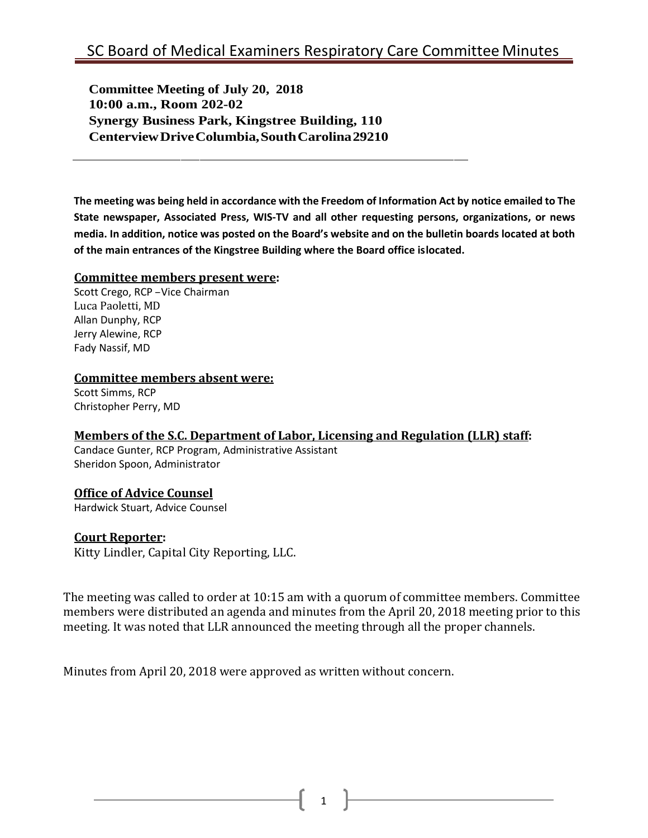**Committee Meeting of July 20, 2018 10:00 a.m., Room 202-02 Synergy Business Park, Kingstree Building, 110 CenterviewDriveColumbia,SouthCarolina29210**

**The meeting was being held in accordance with the Freedom of Information Act by notice emailed to The State newspaper, Associated Press, WIS-TV and all other requesting persons, organizations, or news media. In addition, notice was posted on the Board's website and on the bulletin boards located at both of the main entrances of the Kingstree Building where the Board office islocated.**

#### **Committee members present were:**

Scott Crego, RCP –Vice Chairman Luca Paoletti, MD Allan Dunphy, RCP Jerry Alewine, RCP Fady Nassif, MD

#### **Committee members absent were:**

Scott Simms, RCP Christopher Perry, MD

#### **Members of the S.C. Department of Labor, Licensing and Regulation (LLR) staff:**

Candace Gunter, RCP Program, Administrative Assistant Sheridon Spoon, Administrator

### **Office of Advice Counsel**

Hardwick Stuart, Advice Counsel

#### **Court Reporter:**

Kitty Lindler, Capital City Reporting, LLC.

The meeting was called to order at 10:15 am with a quorum of committee members. Committee members were distributed an agenda and minutes from the April 20, 2018 meeting prior to this meeting. It was noted that LLR announced the meeting through all the proper channels.

Minutes from April 20, 2018 were approved as written without concern.

1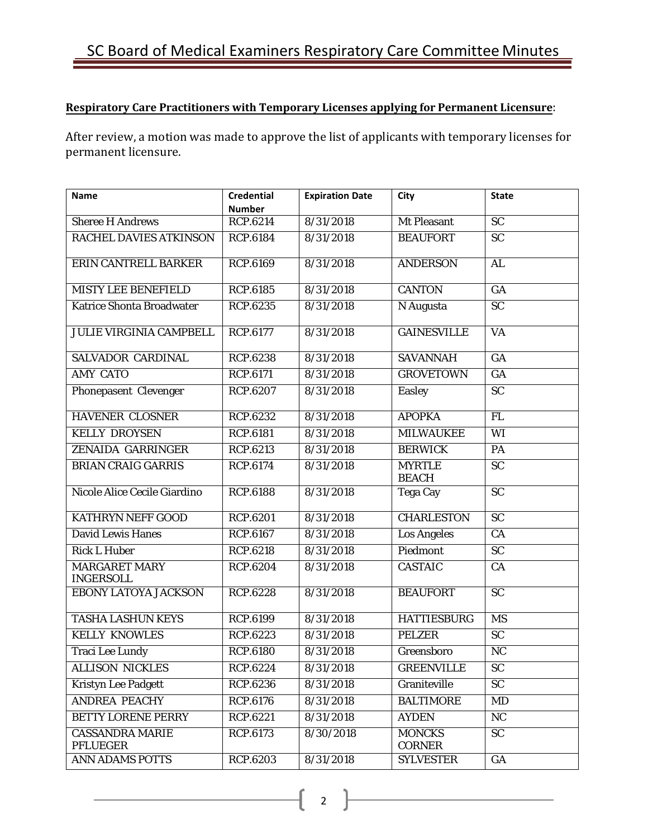## **Respiratory Care Practitioners with Temporary Licenses applying for Permanent Licensure**:

After review, a motion was made to approve the list of applicants with temporary licenses for permanent licensure.

| <b>Name</b>                               | <b>Credential</b><br><b>Number</b> | <b>Expiration Date</b> | <b>City</b>                    | <b>State</b>    |
|-------------------------------------------|------------------------------------|------------------------|--------------------------------|-----------------|
| <b>Sheree H Andrews</b>                   | <b>RCP.6214</b>                    | 8/31/2018              | <b>Mt Pleasant</b>             | $\overline{SC}$ |
| <b>RACHEL DAVIES ATKINSON</b>             | <b>RCP.6184</b>                    | 8/31/2018              | <b>BEAUFORT</b>                | $\overline{SC}$ |
| ERIN CANTRELL BARKER                      | <b>RCP.6169</b>                    | 8/31/2018              | <b>ANDERSON</b>                | AL              |
| <b>MISTY LEE BENEFIELD</b>                | <b>RCP.6185</b>                    | 8/31/2018              | <b>CANTON</b>                  | GA              |
| <b>Katrice Shonta Broadwater</b>          | <b>RCP.6235</b>                    | 8/31/2018              | N Augusta                      | $\overline{SC}$ |
| <b>JULIE VIRGINIA CAMPBELL</b>            | <b>RCP.6177</b>                    | 8/31/2018              | <b>GAINESVILLE</b>             | $\overline{VA}$ |
| <b>SALVADOR CARDINAL</b>                  | <b>RCP.6238</b>                    | 8/31/2018              | <b>SAVANNAH</b>                | G A             |
| <b>AMY CATO</b>                           | <b>RCP.6171</b>                    | 8/31/2018              | <b>GROVETOWN</b>               | GA              |
| Phonepasent Clevenger                     | <b>RCP.6207</b>                    | 8/31/2018              | <b>Easley</b>                  | <b>SC</b>       |
| <b>HAVENER CLOSNER</b>                    | <b>RCP.6232</b>                    | 8/31/2018              | <b>APOPKA</b>                  | <b>FL</b>       |
| <b>KELLY DROYSEN</b>                      | <b>RCP.6181</b>                    | 8/31/2018              | <b>MILWAUKEE</b>               | WI              |
| ZENAIDA GARRINGER                         | <b>RCP.6213</b>                    | 8/31/2018              | <b>BERWICK</b>                 | PA              |
| <b>BRIAN CRAIG GARRIS</b>                 | <b>RCP.6174</b>                    | 8/31/2018              | <b>MYRTLE</b><br><b>BEACH</b>  | $\overline{SC}$ |
| Nicole Alice Cecile Giardino              | <b>RCP.6188</b>                    | 8/31/2018              | <b>Tega Cay</b>                | $\overline{SC}$ |
| KATHRYN NEFF GOOD                         | <b>RCP.6201</b>                    | 8/31/2018              | <b>CHARLESTON</b>              | <b>SC</b>       |
| <b>David Lewis Hanes</b>                  | <b>RCP.6167</b>                    | 8/31/2018              | <b>Los Angeles</b>             | CA              |
| <b>Rick L Huber</b>                       | <b>RCP.6218</b>                    | 8/31/2018              | Piedmont                       | <b>SC</b>       |
| <b>MARGARET MARY</b><br><b>INGERSOLL</b>  | <b>RCP.6204</b>                    | 8/31/2018              | <b>CASTAIC</b>                 | CA              |
| EBONY LATOYA JACKSON                      | <b>RCP.6228</b>                    | 8/31/2018              | <b>BEAUFORT</b>                | $\overline{SC}$ |
| <b>TASHA LASHUN KEYS</b>                  | <b>RCP.6199</b>                    | 8/31/2018              | <b>HATTIESBURG</b>             | <b>MS</b>       |
| <b>KELLY KNOWLES</b>                      | <b>RCP.6223</b>                    | 8/31/2018              | <b>PELZER</b>                  | <b>SC</b>       |
| <b>Traci Lee Lundy</b>                    | <b>RCP.6180</b>                    | 8/31/2018              | Greensboro                     | <b>NC</b>       |
| <b>ALLISON NICKLES</b>                    | RCP.6224                           | 8/31/2018              | <b>GREENVILLE</b>              | <b>SC</b>       |
| <b>Kristyn Lee Padgett</b>                | <b>RCP.6236</b>                    | 8/31/2018              | Graniteville                   | <b>SC</b>       |
| <b>ANDREA PEACHY</b>                      | <b>RCP.6176</b>                    | 8/31/2018              | <b>BALTIMORE</b>               | MD              |
| <b>BETTY LORENE PERRY</b>                 | RCP.6221                           | 8/31/2018              | <b>AYDEN</b>                   | NC              |
| <b>CASSANDRA MARIE</b><br><b>PFLUEGER</b> | <b>RCP.6173</b>                    | 8/30/2018              | <b>MONCKS</b><br><b>CORNER</b> | <b>SC</b>       |
| ANN ADAMS POTTS                           | <b>RCP.6203</b>                    | 8/31/2018              | <b>SYLVESTER</b>               | GA              |

2  $\}$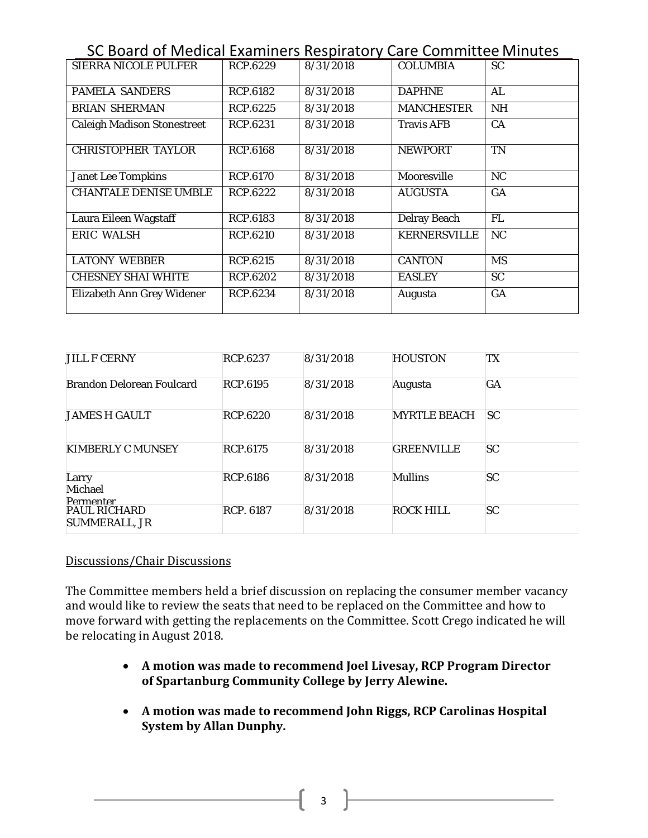| SC Board of Medical Examiners Respiratory Care Committee Minutes |                 |           |                     |           |  |  |
|------------------------------------------------------------------|-----------------|-----------|---------------------|-----------|--|--|
| <b>SIERRA NICOLE PULFER</b>                                      | RCP.6229        | 8/31/2018 | <b>COLUMBIA</b>     | SC.       |  |  |
|                                                                  |                 |           |                     |           |  |  |
| <b>PAMELA SANDERS</b>                                            | <b>RCP.6182</b> | 8/31/2018 | <b>DAPHNE</b>       | AL        |  |  |
| <b>BRIAN SHERMAN</b>                                             | RCP.6225        | 8/31/2018 | <b>MANCHESTER</b>   | <b>NH</b> |  |  |
| <b>Caleigh Madison Stonestreet</b>                               | RCP.6231        | 8/31/2018 | <b>Travis AFB</b>   | CA        |  |  |
| <b>CHRISTOPHER TAYLOR</b>                                        | <b>RCP.6168</b> | 8/31/2018 | <b>NEWPORT</b>      | <b>TN</b> |  |  |
| <b>Janet Lee Tompkins</b>                                        | <b>RCP.6170</b> | 8/31/2018 | Mooresville         | <b>NC</b> |  |  |
| <b>CHANTALE DENISE UMBLE</b>                                     | RCP.6222        | 8/31/2018 | <b>AUGUSTA</b>      | GA        |  |  |
| Laura Eileen Wagstaff                                            | RCP.6183        | 8/31/2018 | <b>Delray Beach</b> | <b>FL</b> |  |  |
| <b>ERIC WALSH</b>                                                | RCP.6210        | 8/31/2018 | <b>KERNERSVILLE</b> | <b>NC</b> |  |  |
| <b>LATONY WEBBER</b>                                             | <b>RCP.6215</b> | 8/31/2018 | <b>CANTON</b>       | <b>MS</b> |  |  |
| <b>CHESNEY SHAI WHITE</b>                                        | <b>RCP.6202</b> | 8/31/2018 | <b>EASLEY</b>       | <b>SC</b> |  |  |
| Elizabeth Ann Grey Widener                                       | RCP.6234        | 8/31/2018 | Augusta             | <b>GA</b> |  |  |

| <b>JILL F CERNY</b>                         | RCP.6237         | 8/31/2018 | <b>HOUSTON</b>      | TX        |
|---------------------------------------------|------------------|-----------|---------------------|-----------|
| <b>Brandon Delorean Foulcard</b>            | RCP.6195         | 8/31/2018 | Augusta             | GA        |
| <b>JAMES H GAULT</b>                        | <b>RCP.6220</b>  | 8/31/2018 | <b>MYRTLE BEACH</b> | <b>SC</b> |
| <b>KIMBERLY C MUNSEY</b>                    | <b>RCP.6175</b>  | 8/31/2018 | <b>GREENVILLE</b>   | <b>SC</b> |
| Larry<br>Michael<br><b>Permenter</b>        | <b>RCP.6186</b>  | 8/31/2018 | <b>Mullins</b>      | SC        |
| <b>PAUL RICHARD</b><br><b>SUMMERALL, JR</b> | <b>RCP. 6187</b> | 8/31/2018 | ROCK HILL           | SC        |

#### Discussions/Chair Discussions

The Committee members held a brief discussion on replacing the consumer member vacancy and would like to review the seats that need to be replaced on the Committee and how to move forward with getting the replacements on the Committee. Scott Crego indicated he will be relocating in August 2018.

- **A motion was made to recommend Joel Livesay, RCP Program Director of Spartanburg Community College by Jerry Alewine.**
- **A motion was made to recommend John Riggs, RCP Carolinas Hospital System by Allan Dunphy.**

 $\begin{array}{|c|c|c|c|c|}\n\hline\n\bullet & \bullet & \bullet & \bullet\n\end{array}$